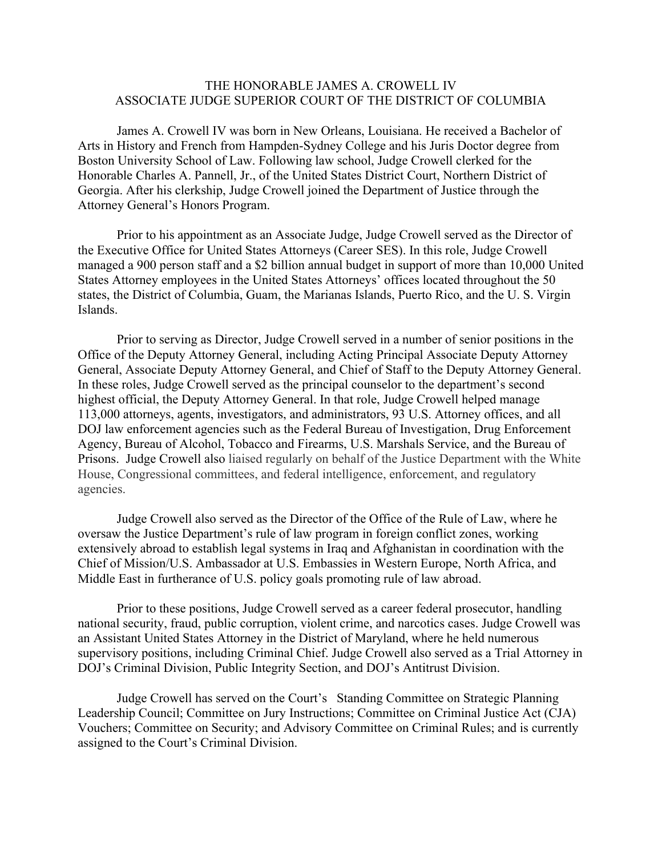## THE HONORABLE JAMES A. CROWELL IV ASSOCIATE JUDGE SUPERIOR COURT OF THE DISTRICT OF COLUMBIA

James A. Crowell IV was born in New Orleans, Louisiana. He received a Bachelor of Arts in History and French from Hampden-Sydney College and his Juris Doctor degree from Boston University School of Law. Following law school, Judge Crowell clerked for the Honorable Charles A. Pannell, Jr., of the United States District Court, Northern District of Georgia. After his clerkship, Judge Crowell joined the Department of Justice through the Attorney General's Honors Program.

Prior to his appointment as an Associate Judge, Judge Crowell served as the Director of the Executive Office for United States Attorneys (Career SES). In this role, Judge Crowell managed a 900 person staff and a \$2 billion annual budget in support of more than 10,000 United States Attorney employees in the United States Attorneys' offices located throughout the 50 states, the District of Columbia, Guam, the Marianas Islands, Puerto Rico, and the U. S. Virgin Islands.

Prior to serving as Director, Judge Crowell served in a number of senior positions in the Office of the Deputy Attorney General, including Acting Principal Associate Deputy Attorney General, Associate Deputy Attorney General, and Chief of Staff to the Deputy Attorney General. In these roles, Judge Crowell served as the principal counselor to the department's second highest official, the Deputy Attorney General. In that role, Judge Crowell helped manage 113,000 attorneys, agents, investigators, and administrators, 93 U.S. Attorney offices, and all DOJ law enforcement agencies such as the Federal Bureau of Investigation, Drug Enforcement Agency, Bureau of Alcohol, Tobacco and Firearms, U.S. Marshals Service, and the Bureau of Prisons. Judge Crowell also liaised regularly on behalf of the Justice Department with the White House, Congressional committees, and federal intelligence, enforcement, and regulatory agencies.

Judge Crowell also served as the Director of the Office of the Rule of Law, where he oversaw the Justice Department's rule of law program in foreign conflict zones, working extensively abroad to establish legal systems in Iraq and Afghanistan in coordination with the Chief of Mission/U.S. Ambassador at U.S. Embassies in Western Europe, North Africa, and Middle East in furtherance of U.S. policy goals promoting rule of law abroad.

Prior to these positions, Judge Crowell served as a career federal prosecutor, handling national security, fraud, public corruption, violent crime, and narcotics cases. Judge Crowell was an Assistant United States Attorney in the District of Maryland, where he held numerous supervisory positions, including Criminal Chief. Judge Crowell also served as a Trial Attorney in DOJ's Criminal Division, Public Integrity Section, and DOJ's Antitrust Division.

Judge Crowell has served on the Court's Standing Committee on Strategic Planning Leadership Council; Committee on Jury Instructions; Committee on Criminal Justice Act (CJA) Vouchers; Committee on Security; and Advisory Committee on Criminal Rules; and is currently assigned to the Court's Criminal Division.